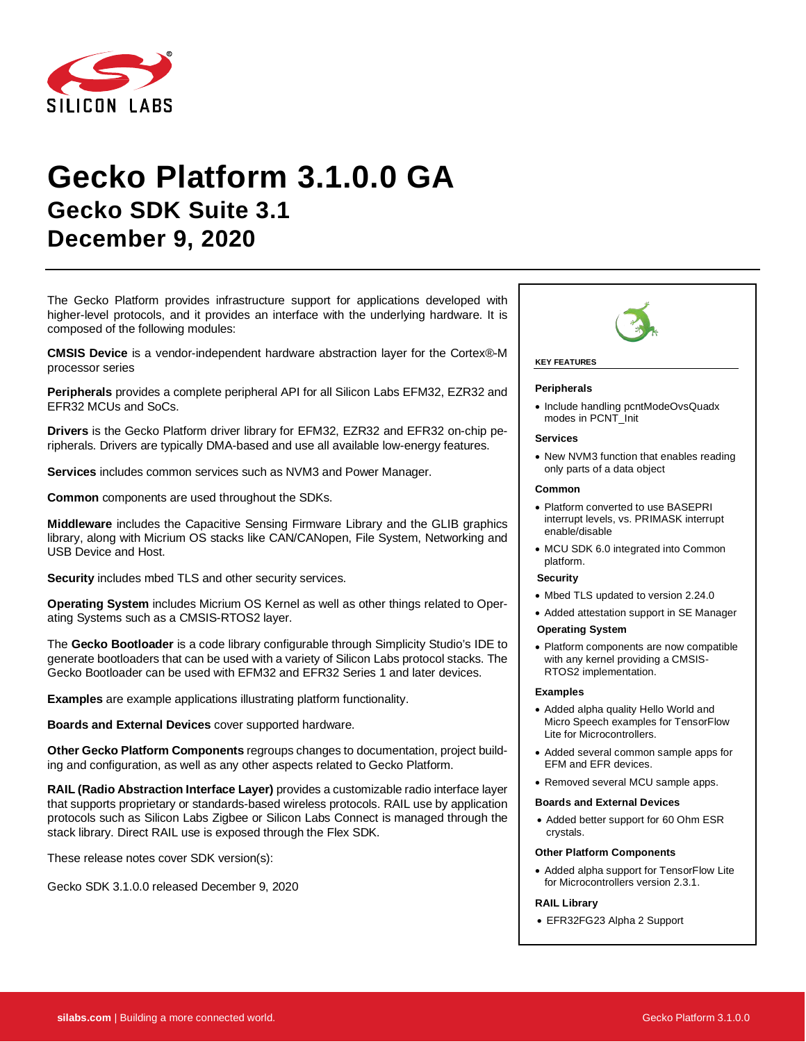

# **Gecko Platform 3.1.0.0 GA Gecko SDK Suite 3.1 December 9, 2020**

The Gecko Platform provides infrastructure support for applications developed with higher-level protocols, and it provides an interface with the underlying hardware. It is composed of the following modules:

**CMSIS Device** is a vendor-independent hardware abstraction layer for the Cortex®-M processor series

**Peripherals** provides a complete peripheral API for all Silicon Labs EFM32, EZR32 and EFR32 MCUs and SoCs.

**Drivers** is the Gecko Platform driver library for EFM32, EZR32 and EFR32 on-chip peripherals. Drivers are typically DMA-based and use all available low-energy features.

**Services** includes common services such as NVM3 and Power Manager.

**Common** components are used throughout the SDKs.

**Middleware** includes the Capacitive Sensing Firmware Library and the GLIB graphics library, along with Micrium OS stacks like CAN/CANopen, File System, Networking and USB Device and Host.

**Security** includes mbed TLS and other security services.

**Operating System** includes Micrium OS Kernel as well as other things related to Operating Systems such as a CMSIS-RTOS2 layer.

The **Gecko Bootloader** is a code library configurable through Simplicity Studio's IDE to generate bootloaders that can be used with a variety of Silicon Labs protocol stacks. The Gecko Bootloader can be used with EFM32 and EFR32 Series 1 and later devices.

**Examples** are example applications illustrating platform functionality.

**Boards and External Devices** cover supported hardware.

**Other Gecko Platform Components** regroups changes to documentation, project building and configuration, as well as any other aspects related to Gecko Platform.

**RAIL (Radio Abstraction Interface Layer)** provides a customizable radio interface layer that supports proprietary or standards-based wireless protocols. RAIL use by application protocols such as Silicon Labs Zigbee or Silicon Labs Connect is managed through the stack library. Direct RAIL use is exposed through the Flex SDK.

These release notes cover SDK version(s):

Gecko SDK 3.1.0.0 released December 9, 2020



## **KEY FEATURES**

#### **Peripherals**

• Include handling pcntModeOvsQuadx modes in PCNT\_Init

#### **Services**

• New NVM3 function that enables reading only parts of a data object

#### **Common**

- Platform converted to use BASEPRI interrupt levels, vs. PRIMASK interrupt enable/disable
- MCU SDK 6.0 integrated into Common platform.

#### **Security**

- Mbed TLS updated to version 2.24.0
- Added attestation support in SE Manager
- **Operating System**
- Platform components are now compatible with any kernel providing a CMSIS-RTOS2 implementation.

#### **Examples**

- Added alpha quality Hello World and Micro Speech examples for TensorFlow Lite for Microcontrollers.
- Added several common sample apps for EFM and EFR devices.
- Removed several MCU sample apps.

#### **Boards and External Devices**

• Added better support for 60 Ohm ESR crystals.

#### **Other Platform Components**

• Added alpha support for TensorFlow Lite for Microcontrollers version 2.3.1.

#### **RAIL Library**

• EFR32FG23 Alpha 2 Support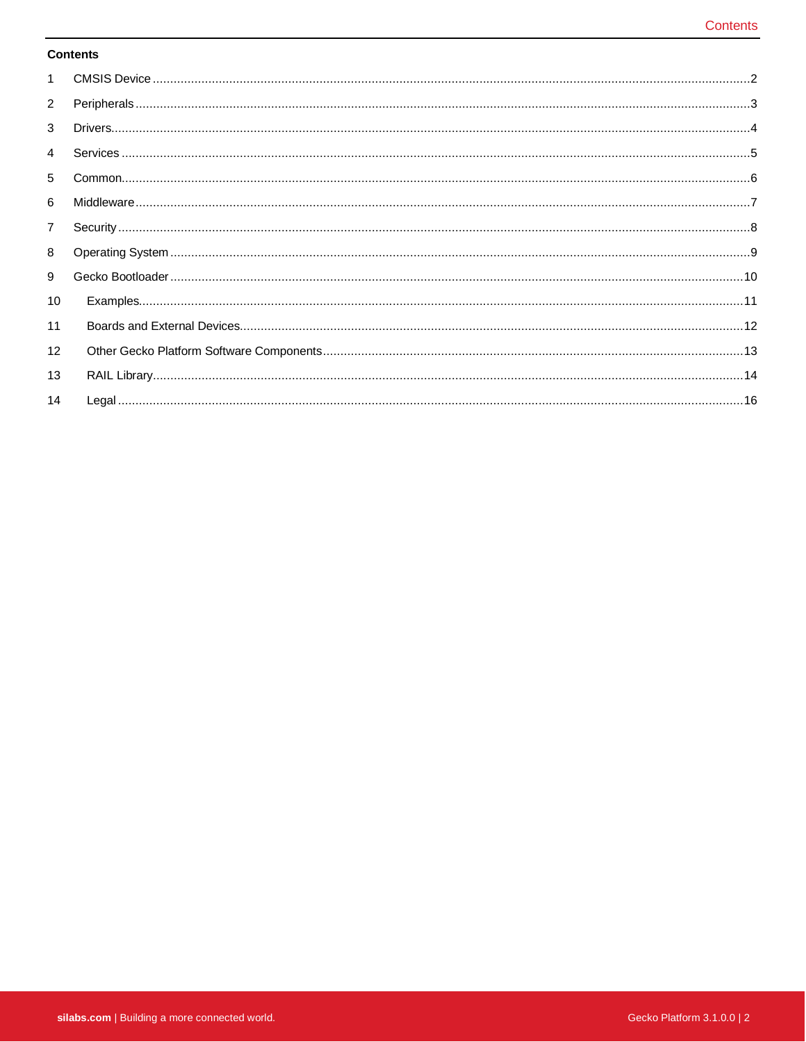#### **Contents**

| $\mathbf{1}$   |  |
|----------------|--|
| $\overline{2}$ |  |
| 3              |  |
| $\overline{4}$ |  |
| 5              |  |
| 6              |  |
| $\overline{7}$ |  |
| 8              |  |
| 9              |  |
| 10             |  |
| 11             |  |
| 12             |  |
| 13             |  |
| 14             |  |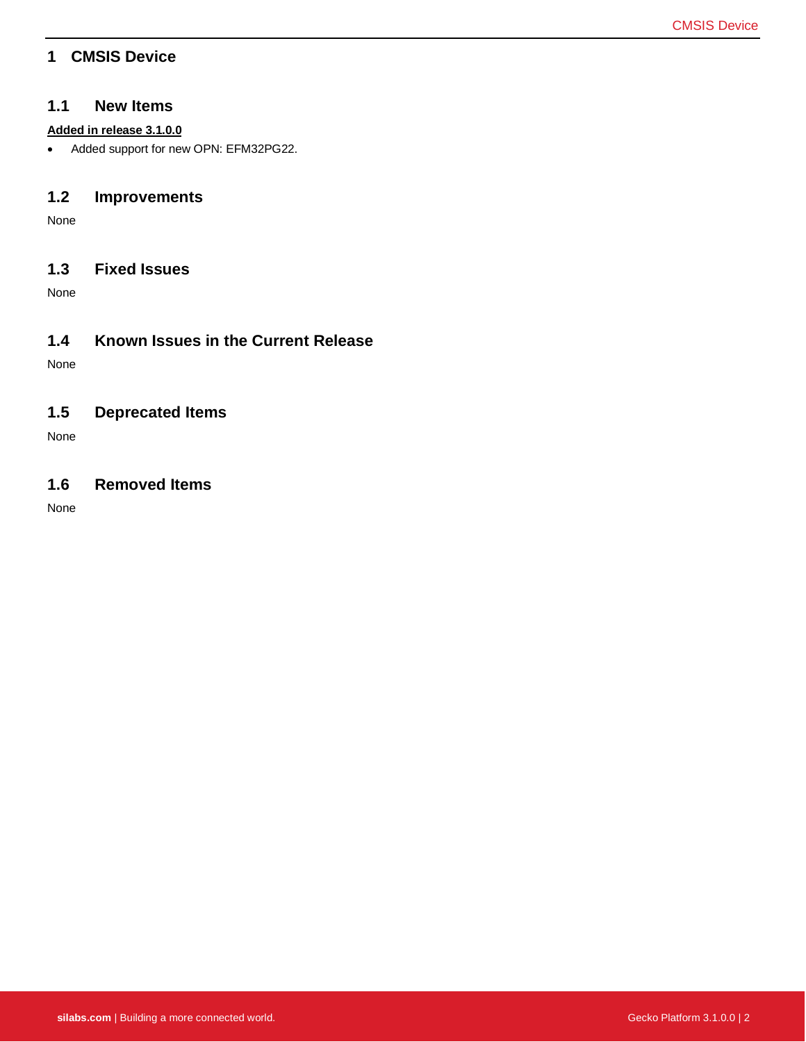### <span id="page-2-0"></span>**1 CMSIS Device**

#### **1.1 New Items**

#### **Added in release 3.1.0.0**

• Added support for new OPN: EFM32PG22.

### **1.2 Improvements**

None

### **1.3 Fixed Issues**

None

### **1.4 Known Issues in the Current Release**

None

### **1.5 Deprecated Items**

None

### **1.6 Removed Items**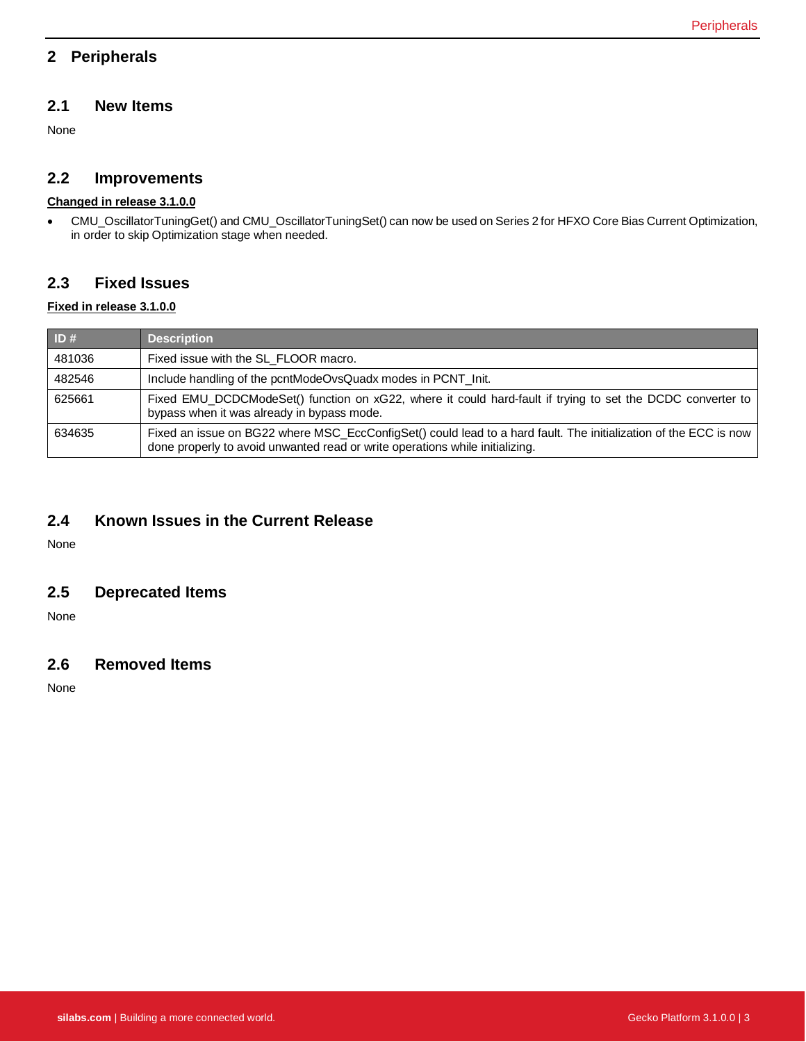# <span id="page-3-0"></span>**2 Peripherals**

# **2.1 New Items**

None

# **2.2 Improvements**

# **Changed in release 3.1.0.0**

• CMU\_OscillatorTuningGet() and CMU\_OscillatorTuningSet() can now be used on Series 2 for HFXO Core Bias Current Optimization, in order to skip Optimization stage when needed.

# **2.3 Fixed Issues**

#### **Fixed in release 3.1.0.0**

| ID#    | <b>Description</b>                                                                                                                                                                               |
|--------|--------------------------------------------------------------------------------------------------------------------------------------------------------------------------------------------------|
| 481036 | Fixed issue with the SL FLOOR macro.                                                                                                                                                             |
| 482546 | Include handling of the pcntModeOvsQuadx modes in PCNT_Init.                                                                                                                                     |
| 625661 | Fixed EMU_DCDCModeSet() function on xG22, where it could hard-fault if trying to set the DCDC converter to<br>bypass when it was already in bypass mode.                                         |
| 634635 | Fixed an issue on BG22 where MSC_EccConfigSet() could lead to a hard fault. The initialization of the ECC is now<br>done properly to avoid unwanted read or write operations while initializing. |

# **2.4 Known Issues in the Current Release**

None

### **2.5 Deprecated Items**

None

# **2.6 Removed Items**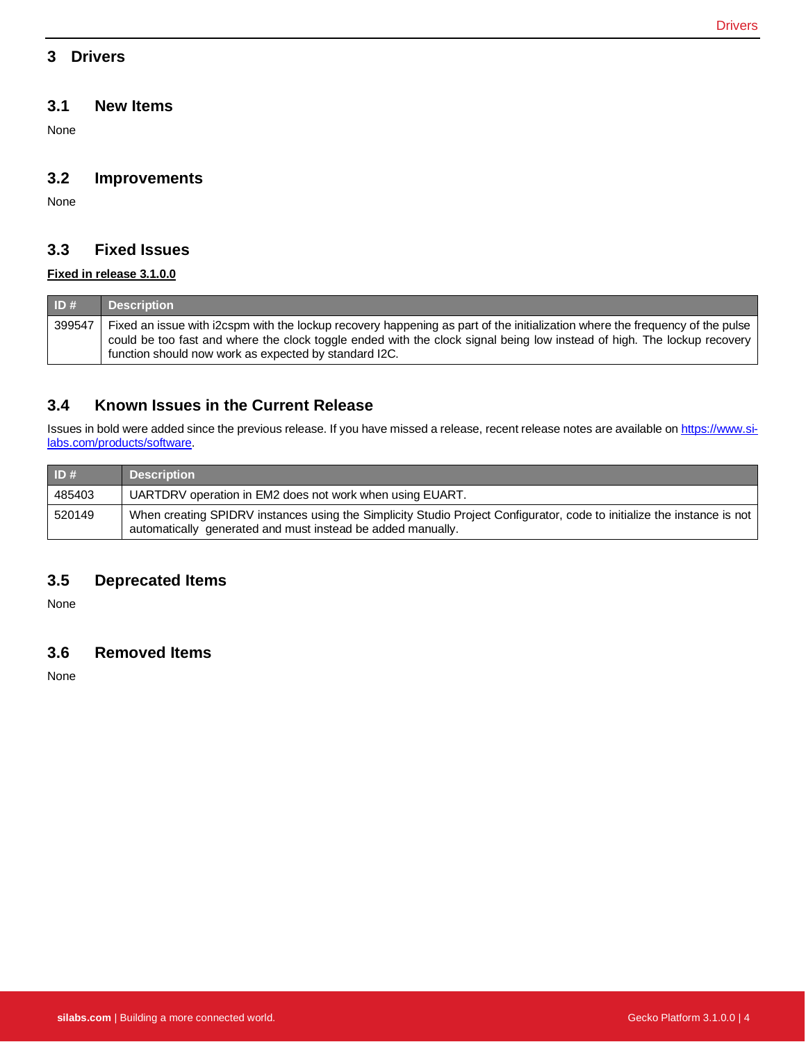### <span id="page-4-0"></span>**3 Drivers**

#### **3.1 New Items**

None

#### **3.2 Improvements**

None

### **3.3 Fixed Issues**

#### **Fixed in release 3.1.0.0**

| ID#    | <b>Description</b>                                                                                                                                                                                                                                      |
|--------|---------------------------------------------------------------------------------------------------------------------------------------------------------------------------------------------------------------------------------------------------------|
| 399547 | Fixed an issue with i2cspm with the lockup recovery happening as part of the initialization where the frequency of the pulse<br>could be too fast and where the clock toggle ended with the clock signal being low instead of high. The lockup recovery |
|        | function should now work as expected by standard I2C.                                                                                                                                                                                                   |

### **3.4 Known Issues in the Current Release**

Issues in bold were added since the previous release. If you have missed a release, recent release notes are available o[n https://www.si](https://www.silabs.com/products/software)[labs.com/products/software.](https://www.silabs.com/products/software)

| ID#    | <b>Description</b>                                                                                                                                                                     |
|--------|----------------------------------------------------------------------------------------------------------------------------------------------------------------------------------------|
| 485403 | UARTDRV operation in EM2 does not work when using EUART.                                                                                                                               |
| 520149 | When creating SPIDRV instances using the Simplicity Studio Project Configurator, code to initialize the instance is not<br>automatically generated and must instead be added manually. |

### **3.5 Deprecated Items**

None

### **3.6 Removed Items**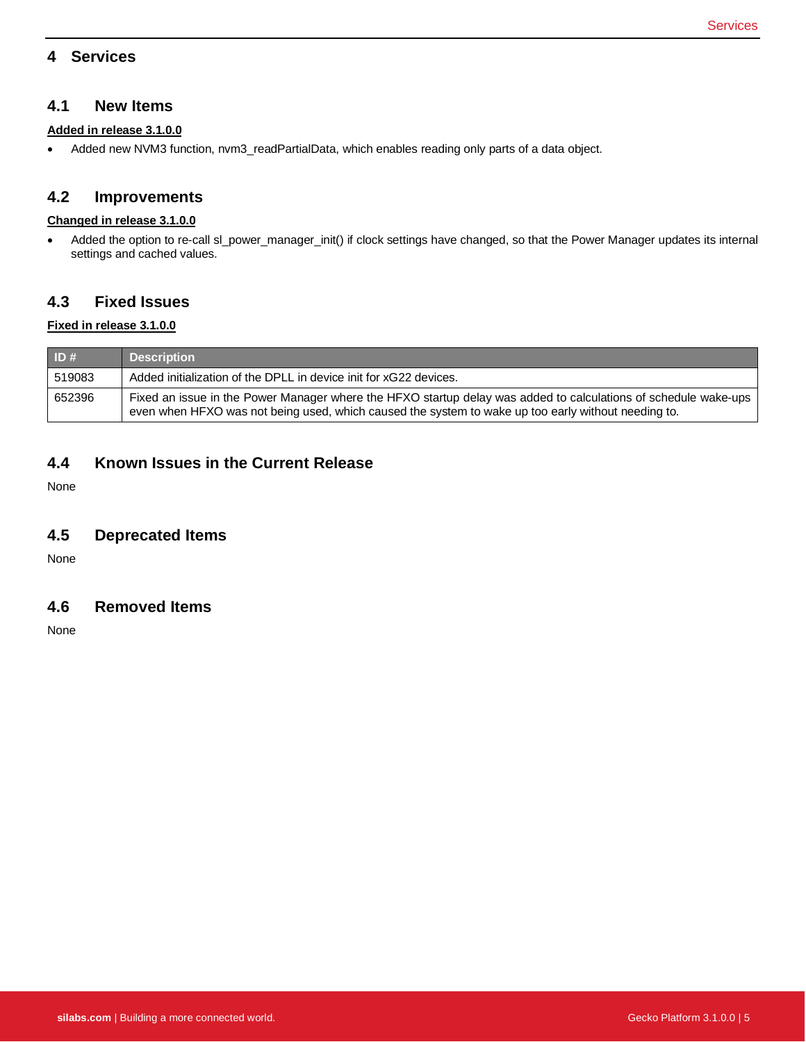### <span id="page-5-0"></span>**4 Services**

#### **4.1 New Items**

#### **Added in release 3.1.0.0**

• Added new NVM3 function, nvm3\_readPartialData, which enables reading only parts of a data object.

#### **4.2 Improvements**

#### **Changed in release 3.1.0.0**

• Added the option to re-call sl\_power\_manager\_init() if clock settings have changed, so that the Power Manager updates its internal settings and cached values.

### **4.3 Fixed Issues**

#### **Fixed in release 3.1.0.0**

| ID#    | <b>Description</b>                                                                                                                                                                                                     |
|--------|------------------------------------------------------------------------------------------------------------------------------------------------------------------------------------------------------------------------|
| 519083 | Added initialization of the DPLL in device init for xG22 devices.                                                                                                                                                      |
| 652396 | Fixed an issue in the Power Manager where the HFXO startup delay was added to calculations of schedule wake-ups<br>even when HFXO was not being used, which caused the system to wake up too early without needing to. |

#### **4.4 Known Issues in the Current Release**

None

#### **4.5 Deprecated Items**

None

#### **4.6 Removed Items**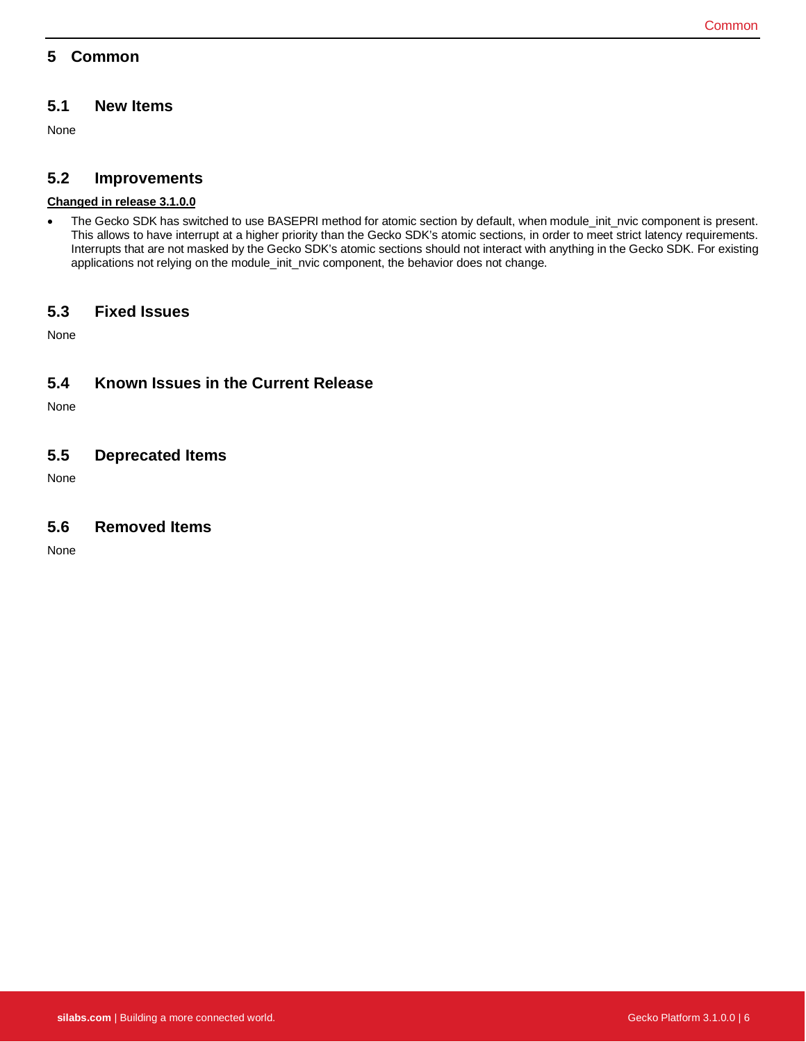### <span id="page-6-0"></span>**5 Common**

# **5.1 New Items**

None

### **5.2 Improvements**

#### **Changed in release 3.1.0.0**

• The Gecko SDK has switched to use BASEPRI method for atomic section by default, when module\_init\_nvic component is present. This allows to have interrupt at a higher priority than the Gecko SDK's atomic sections, in order to meet strict latency requirements. Interrupts that are not masked by the Gecko SDK's atomic sections should not interact with anything in the Gecko SDK. For existing applications not relying on the module\_init\_nvic component, the behavior does not change.

### **5.3 Fixed Issues**

None

# **5.4 Known Issues in the Current Release**

None

### **5.5 Deprecated Items**

None

### **5.6 Removed Items**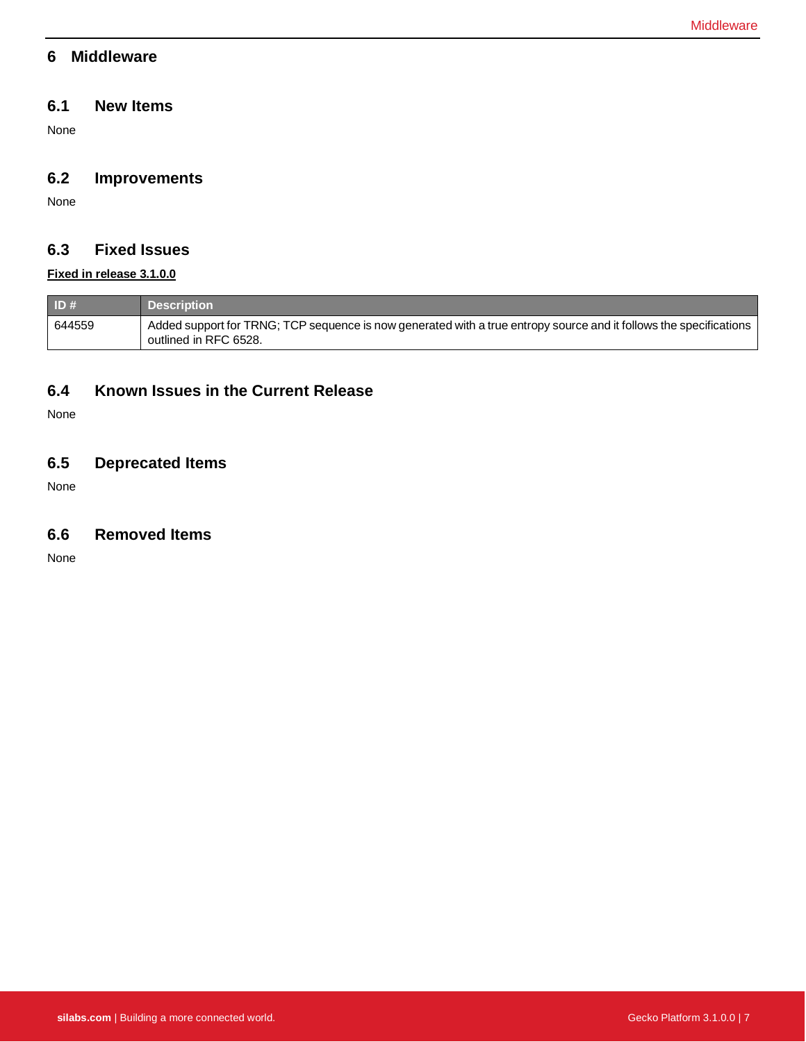#### <span id="page-7-0"></span>**6 Middleware**

### **6.1 New Items**

None

## **6.2 Improvements**

None

# **6.3 Fixed Issues**

### **Fixed in release 3.1.0.0**

| $\blacksquare$ ID # | <b>Description</b>                                                                                                                          |
|---------------------|---------------------------------------------------------------------------------------------------------------------------------------------|
| 644559              | Added support for TRNG; TCP sequence is now generated with a true entropy source and it follows the specifications<br>outlined in RFC 6528. |

### **6.4 Known Issues in the Current Release**

None

### **6.5 Deprecated Items**

None

### **6.6 Removed Items**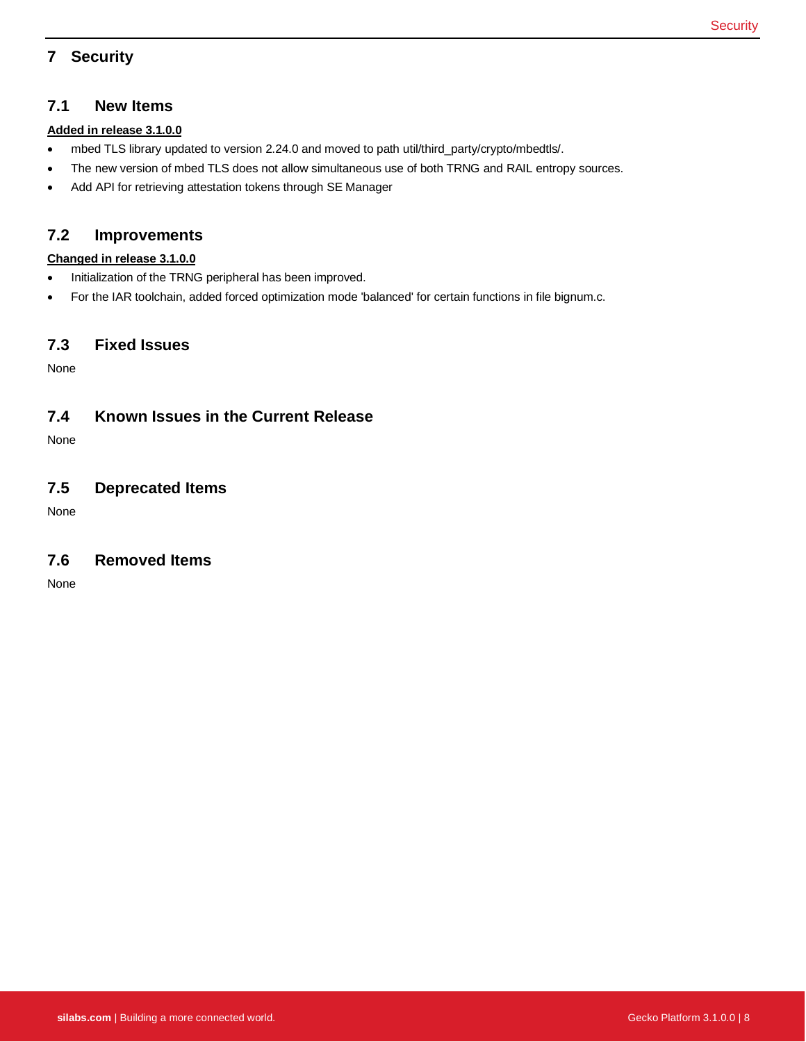# <span id="page-8-0"></span>**7 Security**

#### **7.1 New Items**

#### **Added in release 3.1.0.0**

- mbed TLS library updated to version 2.24.0 and moved to path util/third\_party/crypto/mbedtls/.
- The new version of mbed TLS does not allow simultaneous use of both TRNG and RAIL entropy sources.
- Add API for retrieving attestation tokens through SE Manager

### **7.2 Improvements**

#### **Changed in release 3.1.0.0**

- Initialization of the TRNG peripheral has been improved.
- For the IAR toolchain, added forced optimization mode 'balanced' for certain functions in file bignum.c.

### **7.3 Fixed Issues**

None

### **7.4 Known Issues in the Current Release**

None

### **7.5 Deprecated Items**

None

### **7.6 Removed Items**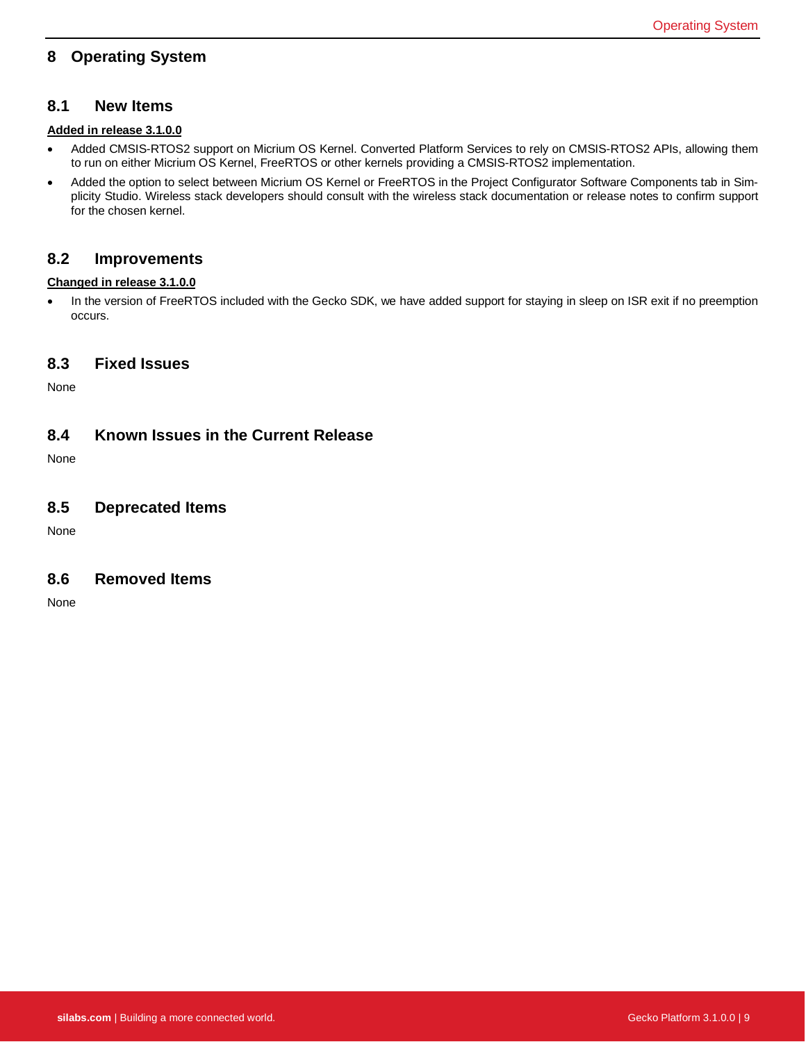### <span id="page-9-0"></span>**8 Operating System**

#### **8.1 New Items**

#### **Added in release 3.1.0.0**

- Added CMSIS-RTOS2 support on Micrium OS Kernel. Converted Platform Services to rely on CMSIS-RTOS2 APIs, allowing them to run on either Micrium OS Kernel, FreeRTOS or other kernels providing a CMSIS-RTOS2 implementation.
- Added the option to select between Micrium OS Kernel or FreeRTOS in the Project Configurator Software Components tab in Simplicity Studio. Wireless stack developers should consult with the wireless stack documentation or release notes to confirm support for the chosen kernel.

#### **8.2 Improvements**

#### **Changed in release 3.1.0.0**

• In the version of FreeRTOS included with the Gecko SDK, we have added support for staying in sleep on ISR exit if no preemption occurs.

#### **8.3 Fixed Issues**

None

#### **8.4 Known Issues in the Current Release**

None

#### **8.5 Deprecated Items**

None

#### **8.6 Removed Items**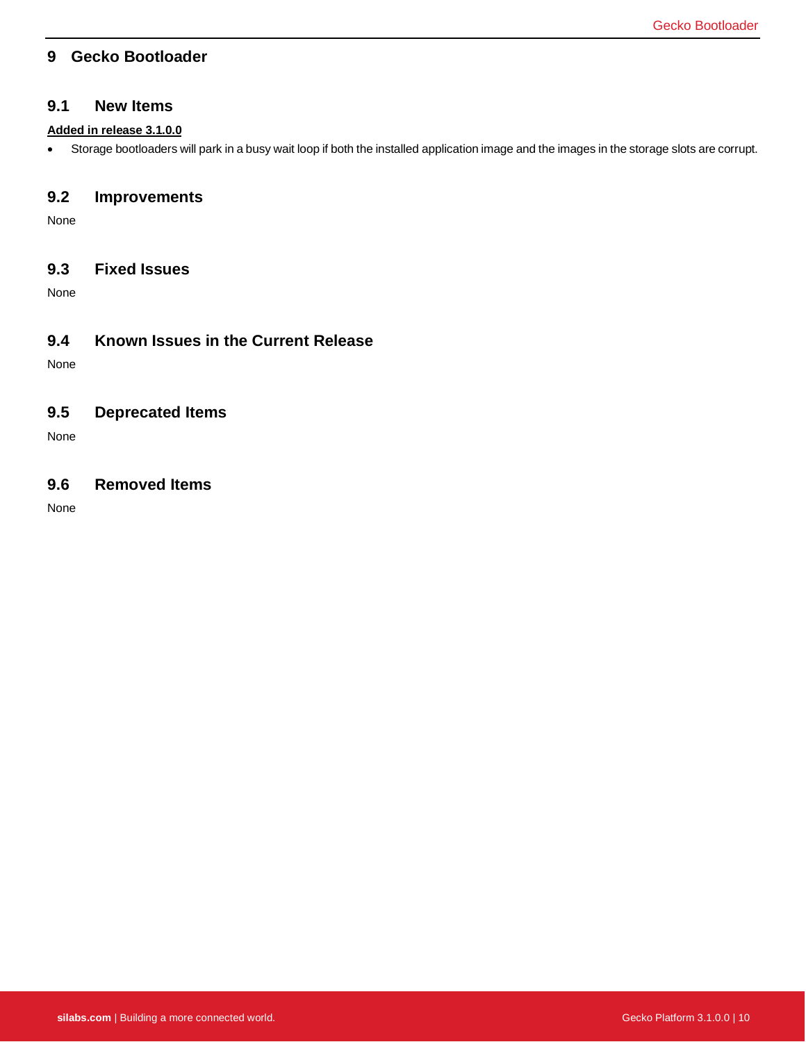### <span id="page-10-0"></span>**9 Gecko Bootloader**

#### **9.1 New Items**

#### **Added in release 3.1.0.0**

• Storage bootloaders will park in a busy wait loop if both the installed application image and the images in the storage slots are corrupt.

### **9.2 Improvements**

None

### **9.3 Fixed Issues**

None

### **9.4 Known Issues in the Current Release**

None

### **9.5 Deprecated Items**

None

#### **9.6 Removed Items**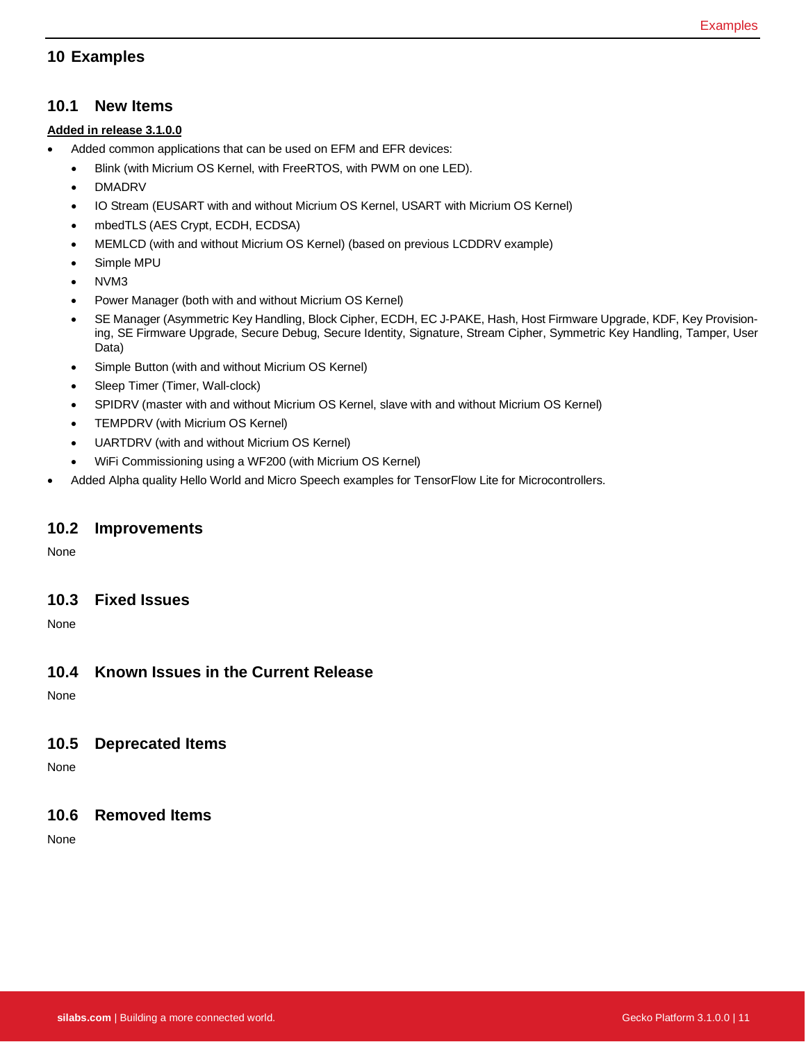### <span id="page-11-0"></span>**10 Examples**

#### **10.1 New Items**

#### **Added in release 3.1.0.0**

- Added common applications that can be used on EFM and EFR devices:
	- Blink (with Micrium OS Kernel, with FreeRTOS, with PWM on one LED).
	- DMADRV
	- IO Stream (EUSART with and without Micrium OS Kernel, USART with Micrium OS Kernel)
	- mbedTLS (AES Crypt, ECDH, ECDSA)
	- MEMLCD (with and without Micrium OS Kernel) (based on previous LCDDRV example)
	- Simple MPU
	- NVM3
	- Power Manager (both with and without Micrium OS Kernel)
	- SE Manager (Asymmetric Key Handling, Block Cipher, ECDH, EC J-PAKE, Hash, Host Firmware Upgrade, KDF, Key Provisioning, SE Firmware Upgrade, Secure Debug, Secure Identity, Signature, Stream Cipher, Symmetric Key Handling, Tamper, User Data)
	- Simple Button (with and without Micrium OS Kernel)
	- Sleep Timer (Timer, Wall-clock)
	- SPIDRV (master with and without Micrium OS Kernel, slave with and without Micrium OS Kernel)
	- TEMPDRV (with Micrium OS Kernel)
	- UARTDRV (with and without Micrium OS Kernel)
	- WiFi Commissioning using a WF200 (with Micrium OS Kernel)
- Added Alpha quality Hello World and Micro Speech examples for TensorFlow Lite for Microcontrollers.

#### **10.2 Improvements**

None

#### **10.3 Fixed Issues**

None

### **10.4 Known Issues in the Current Release**

None

### **10.5 Deprecated Items**

None

#### **10.6 Removed Items**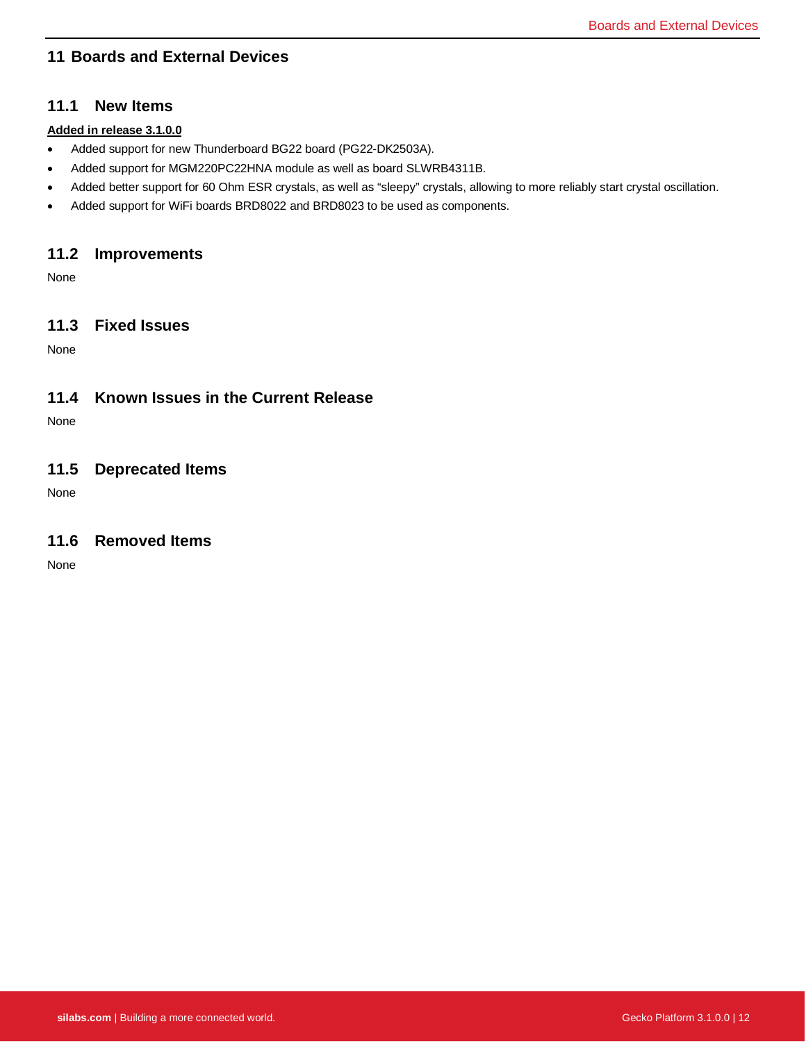# <span id="page-12-0"></span>**11 Boards and External Devices**

#### **11.1 New Items**

#### **Added in release 3.1.0.0**

- Added support for new Thunderboard BG22 board (PG22-DK2503A).
- Added support for MGM220PC22HNA module as well as board SLWRB4311B.
- Added better support for 60 Ohm ESR crystals, as well as "sleepy" crystals, allowing to more reliably start crystal oscillation.
- Added support for WiFi boards BRD8022 and BRD8023 to be used as components.

#### **11.2 Improvements**

None

### **11.3 Fixed Issues**

None

### **11.4 Known Issues in the Current Release**

None

### **11.5 Deprecated Items**

None

### **11.6 Removed Items**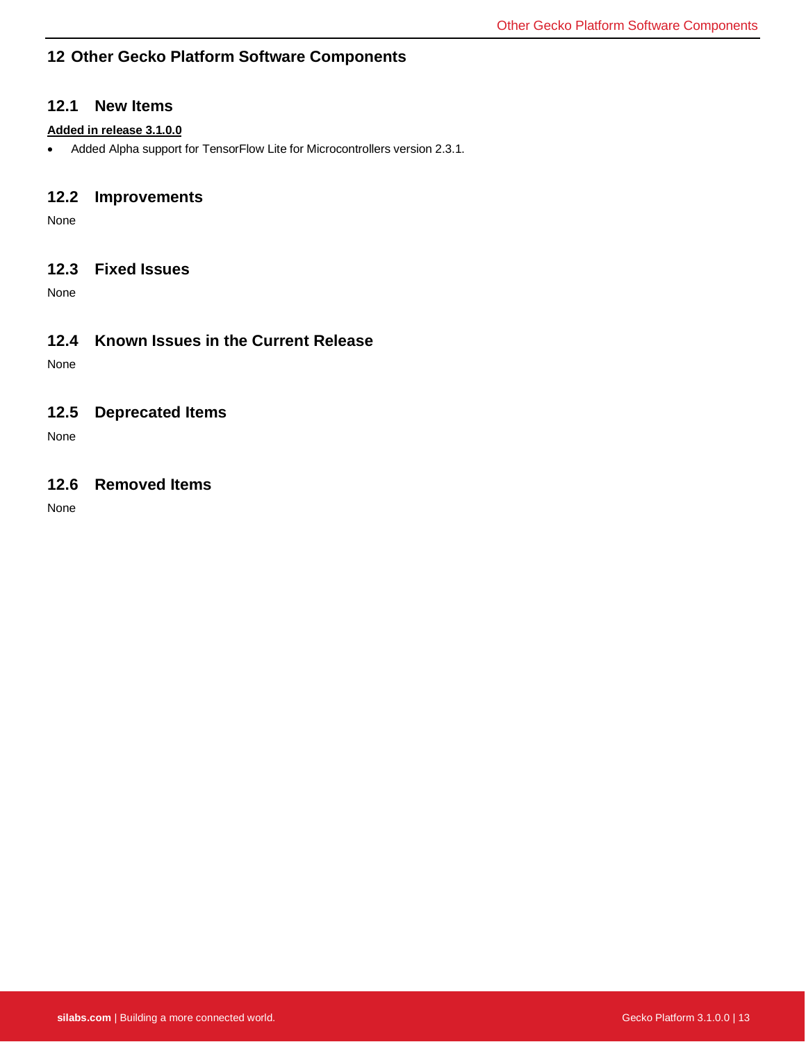### <span id="page-13-0"></span>**12 Other Gecko Platform Software Components**

#### **12.1 New Items**

#### **Added in release 3.1.0.0**

• Added Alpha support for TensorFlow Lite for Microcontrollers version 2.3.1.

### **12.2 Improvements**

None

### **12.3 Fixed Issues**

None

### **12.4 Known Issues in the Current Release**

None

### **12.5 Deprecated Items**

None

### **12.6 Removed Items**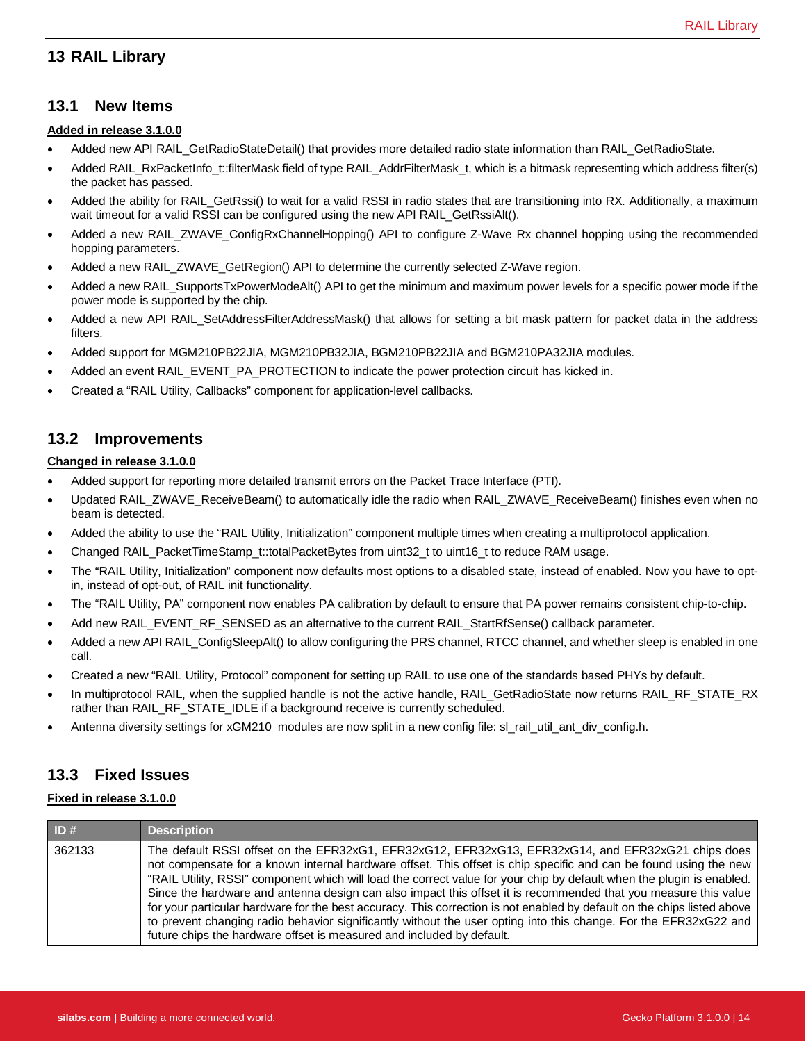### <span id="page-14-0"></span>**13 RAIL Library**

#### **13.1 New Items**

#### **Added in release 3.1.0.0**

- Added new API RAIL\_GetRadioStateDetail() that provides more detailed radio state information than RAIL\_GetRadioState.
- Added RAIL\_RxPacketInfo\_t::filterMask field of type RAIL\_AddrFilterMask\_t, which is a bitmask representing which address filter(s) the packet has passed.
- Added the ability for RAIL\_GetRssi() to wait for a valid RSSI in radio states that are transitioning into RX. Additionally, a maximum wait timeout for a valid RSSI can be configured using the new API RAIL GetRssiAlt().
- Added a new RAIL\_ZWAVE\_ConfigRxChannelHopping() API to configure Z-Wave Rx channel hopping using the recommended hopping parameters.
- Added a new RAIL\_ZWAVE\_GetRegion() API to determine the currently selected Z-Wave region.
- Added a new RAIL\_SupportsTxPowerModeAlt() API to get the minimum and maximum power levels for a specific power mode if the power mode is supported by the chip.
- Added a new API RAIL\_SetAddressFilterAddressMask() that allows for setting a bit mask pattern for packet data in the address filters.
- Added support for MGM210PB22JIA, MGM210PB32JIA, BGM210PB22JIA and BGM210PA32JIA modules.
- Added an event RAIL\_EVENT\_PA\_PROTECTION to indicate the power protection circuit has kicked in.
- Created a "RAIL Utility, Callbacks" component for application-level callbacks.

#### **13.2 Improvements**

#### **Changed in release 3.1.0.0**

- Added support for reporting more detailed transmit errors on the Packet Trace Interface (PTI).
- Updated RAIL\_ZWAVE\_ReceiveBeam() to automatically idle the radio when RAIL\_ZWAVE\_ReceiveBeam() finishes even when no beam is detected.
- Added the ability to use the "RAIL Utility, Initialization" component multiple times when creating a multiprotocol application.
- Changed RAIL\_PacketTimeStamp\_t::totalPacketBytes from uint32\_t to uint16\_t to reduce RAM usage.
- The "RAIL Utility, Initialization" component now defaults most options to a disabled state, instead of enabled. Now you have to optin, instead of opt-out, of RAIL init functionality.
- The "RAIL Utility, PA" component now enables PA calibration by default to ensure that PA power remains consistent chip-to-chip.
- Add new RAIL\_EVENT\_RF\_SENSED as an alternative to the current RAIL\_StartRfSense() callback parameter.
- Added a new API RAIL\_ConfigSleepAlt() to allow configuring the PRS channel, RTCC channel, and whether sleep is enabled in one call.
- Created a new "RAIL Utility, Protocol" component for setting up RAIL to use one of the standards based PHYs by default.
- In multiprotocol RAIL, when the supplied handle is not the active handle, RAIL\_GetRadioState now returns RAIL\_RF\_STATE\_RX rather than RAIL\_RF\_STATE\_IDLE if a background receive is currently scheduled.
- Antenna diversity settings for xGM210 modules are now split in a new config file: sl\_rail\_util\_ant\_div\_config.h.

### **13.3 Fixed Issues**

#### **Fixed in release 3.1.0.0**

| ID#    | <b>Description</b>                                                                                                                                                                                                                                                                                                                                                                                                                                                                                                                                                                                                                                                                                                                                                                         |
|--------|--------------------------------------------------------------------------------------------------------------------------------------------------------------------------------------------------------------------------------------------------------------------------------------------------------------------------------------------------------------------------------------------------------------------------------------------------------------------------------------------------------------------------------------------------------------------------------------------------------------------------------------------------------------------------------------------------------------------------------------------------------------------------------------------|
| 362133 | The default RSSI offset on the EFR32xG1, EFR32xG12, EFR32xG13, EFR32xG14, and EFR32xG21 chips does<br>not compensate for a known internal hardware offset. This offset is chip specific and can be found using the new<br>"RAIL Utility, RSSI" component which will load the correct value for your chip by default when the plugin is enabled.<br>Since the hardware and antenna design can also impact this offset it is recommended that you measure this value<br>for your particular hardware for the best accuracy. This correction is not enabled by default on the chips listed above<br>to prevent changing radio behavior significantly without the user opting into this change. For the EFR32xG22 and<br>future chips the hardware offset is measured and included by default. |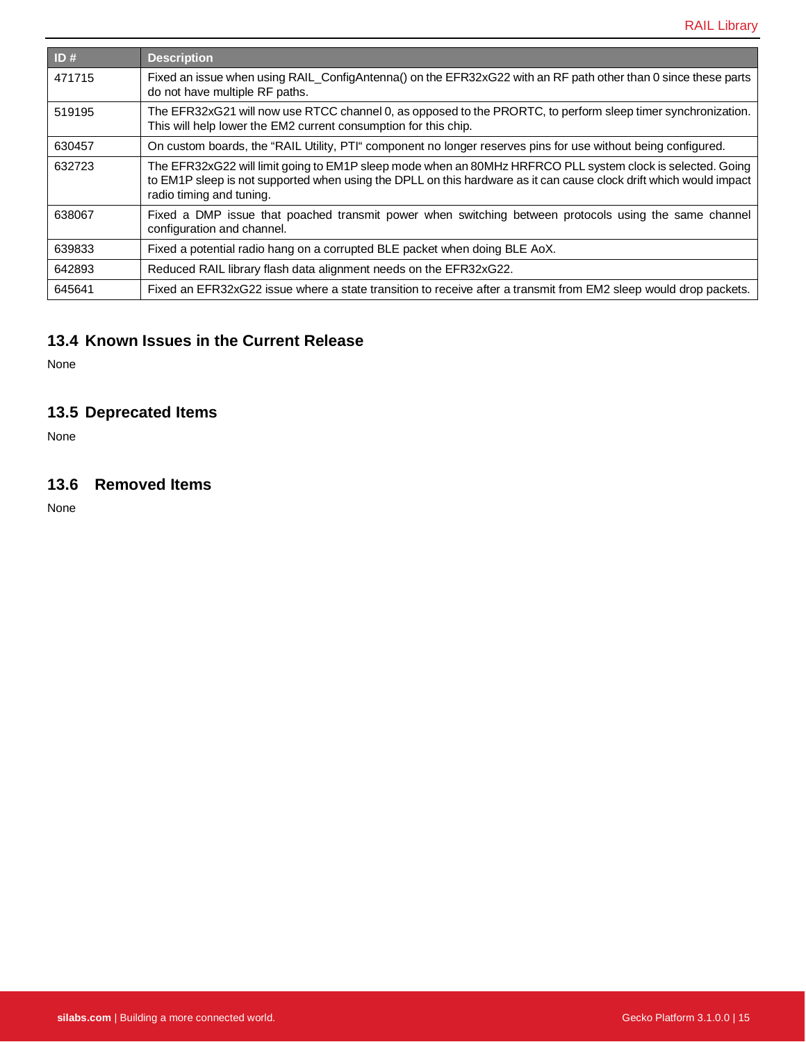| ID#    | <b>Description</b>                                                                                                                                                                                                                                           |
|--------|--------------------------------------------------------------------------------------------------------------------------------------------------------------------------------------------------------------------------------------------------------------|
| 471715 | Fixed an issue when using RAIL_ConfigAntenna() on the EFR32xG22 with an RF path other than 0 since these parts<br>do not have multiple RF paths.                                                                                                             |
| 519195 | The EFR32xG21 will now use RTCC channel 0, as opposed to the PRORTC, to perform sleep timer synchronization.<br>This will help lower the EM2 current consumption for this chip.                                                                              |
| 630457 | On custom boards, the "RAIL Utility, PTI" component no longer reserves pins for use without being configured.                                                                                                                                                |
| 632723 | The EFR32xG22 will limit going to EM1P sleep mode when an 80MHz HRFRCO PLL system clock is selected. Going<br>to EM1P sleep is not supported when using the DPLL on this hardware as it can cause clock drift which would impact<br>radio timing and tuning. |
| 638067 | Fixed a DMP issue that poached transmit power when switching between protocols using the same channel<br>configuration and channel.                                                                                                                          |
| 639833 | Fixed a potential radio hang on a corrupted BLE packet when doing BLE AoX.                                                                                                                                                                                   |
| 642893 | Reduced RAIL library flash data alignment needs on the EFR32xG22.                                                                                                                                                                                            |
| 645641 | Fixed an EFR32xG22 issue where a state transition to receive after a transmit from EM2 sleep would drop packets.                                                                                                                                             |

# **13.4 Known Issues in the Current Release**

None

# **13.5 Deprecated Items**

None

### **13.6 Removed Items**